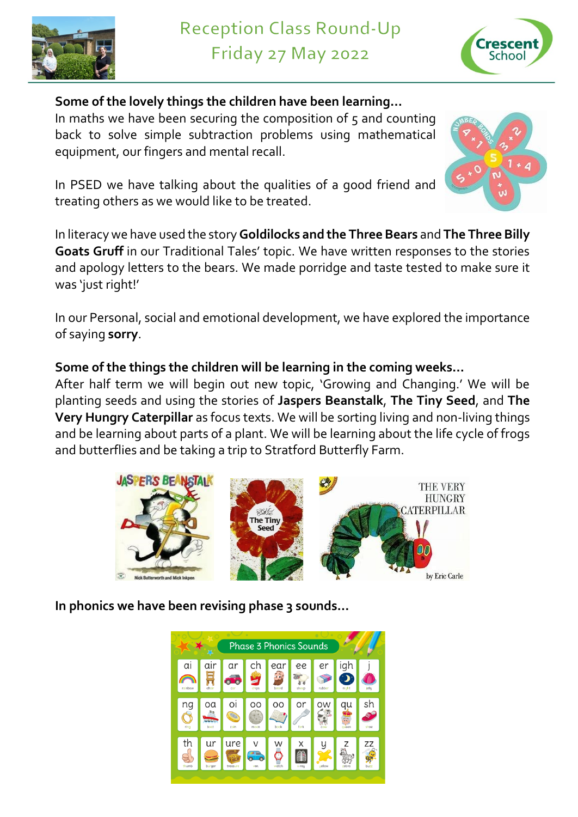



**Some of the lovely things the children have been learning…** In maths we have been securing the composition of  $5$  and counting

back to solve simple subtraction problems using mathematical equipment, our fingers and mental recall.



In PSED we have talking about the qualities of a good friend and treating others as we would like to be treated.

In literacy we have used the story **Goldilocks and the Three Bears** and **The Three Billy Goats Gruff** in our Traditional Tales' topic. We have written responses to the stories and apology letters to the bears. We made porridge and taste tested to make sure it was 'just right!'

In our Personal, social and emotional development, we have explored the importance of saying **sorry**.

## **Some of the things the children will be learning in the coming weeks…**

After half term we will begin out new topic, 'Growing and Changing.' We will be planting seeds and using the stories of **Jaspers Beanstalk**, **The Tiny Seed**, and **The Very Hungry Caterpillar** as focus texts. We will be sorting living and non-living things and be learning about parts of a plant. We will be learning about the life cycle of frogs and butterflies and be taking a trip to Stratford Butterfly Farm.



**In phonics we have been revising phase 3 sounds…**